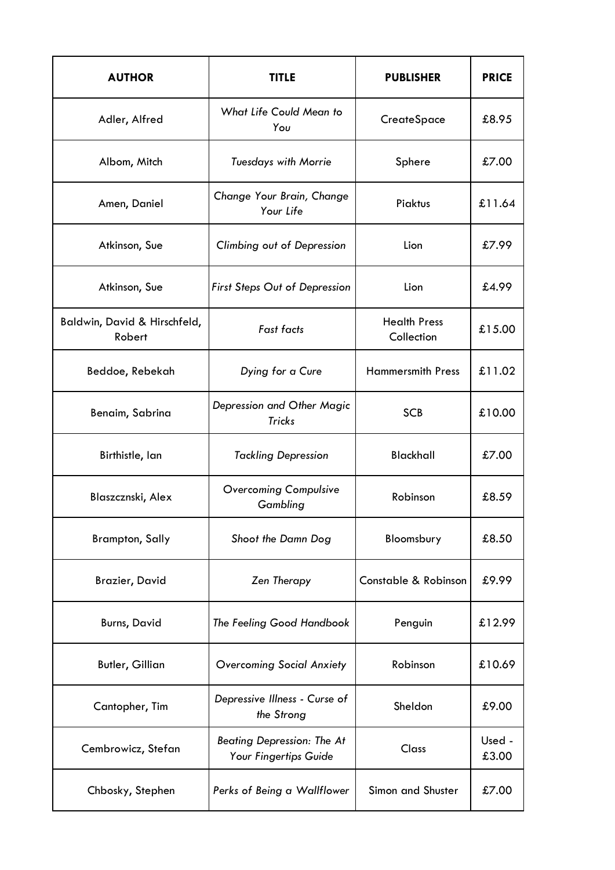| <b>AUTHOR</b>                          | <b>TITLE</b>                                               | <b>PUBLISHER</b>                  | <b>PRICE</b>    |
|----------------------------------------|------------------------------------------------------------|-----------------------------------|-----------------|
| Adler, Alfred                          | What Life Could Mean to<br>You                             | CreateSpace                       | £8.95           |
| Albom, Mitch                           | <b>Tuesdays with Morrie</b>                                | Sphere                            | £7.00           |
| Amen, Daniel                           | Change Your Brain, Change<br>Your Life                     | Piaktus                           | £11.64          |
| Atkinson, Sue                          | Climbing out of Depression                                 | Lion                              | £7.99           |
| Atkinson, Sue                          | First Steps Out of Depression                              | Lion                              | £4.99           |
| Baldwin, David & Hirschfeld,<br>Robert | Fast facts                                                 | <b>Health Press</b><br>Collection | £15.00          |
| Beddoe, Rebekah                        | Dying for a Cure                                           | <b>Hammersmith Press</b>          | £11.02          |
| Benaim, Sabrina                        | Depression and Other Magic<br><b>Tricks</b>                | <b>SCB</b>                        | £10.00          |
| Birthistle, lan                        | <b>Tackling Depression</b>                                 | <b>Blackhall</b>                  | £7.00           |
| Blaszcznski, Alex                      | <b>Overcoming Compulsive</b><br>Gambling                   | Robinson                          | £8.59           |
| <b>Brampton, Sally</b>                 | Shoot the Damn Dog                                         | Bloomsbury                        | £8.50           |
| <b>Brazier, David</b>                  | Zen Therapy                                                | Constable & Robinson              | £9.99           |
| <b>Burns, David</b>                    | The Feeling Good Handbook                                  | Penguin                           | £12.99          |
| <b>Butler, Gillian</b>                 | <b>Overcoming Social Anxiety</b>                           | Robinson                          | £10.69          |
| Cantopher, Tim                         | Depressive Illness - Curse of<br>the Strong                | Sheldon                           | £9.00           |
| Cembrowicz, Stefan                     | <b>Beating Depression: The At</b><br>Your Fingertips Guide | Class                             | Used -<br>£3.00 |
| Chbosky, Stephen                       | Perks of Being a Wallflower                                | Simon and Shuster                 | £7.00           |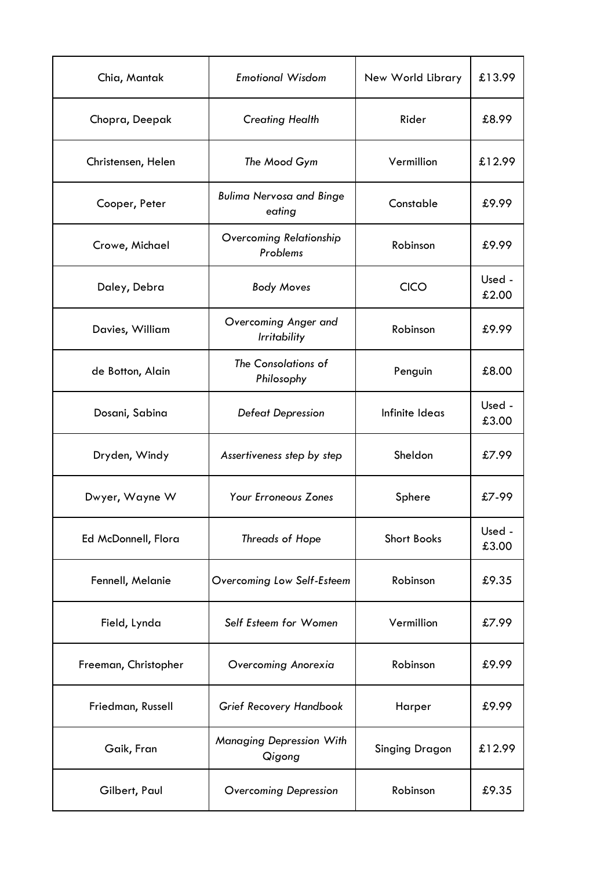| Chia, Mantak         | <b>Emotional Wisdom</b>                     | New World Library     | £13.99          |
|----------------------|---------------------------------------------|-----------------------|-----------------|
| Chopra, Deepak       | <b>Creating Health</b>                      | Rider                 | £8.99           |
| Christensen, Helen   | The Mood Gym                                | Vermillion            | £12.99          |
| Cooper, Peter        | <b>Bulima Nervosa and Binge</b><br>eating   | Constable             | £9.99           |
| Crowe, Michael       | Overcoming Relationship<br>Problems         | Robinson              | £9.99           |
| Daley, Debra         | <b>Body Moves</b>                           | <b>CICO</b>           | Used -<br>£2.00 |
| Davies, William      | Overcoming Anger and<br><b>Irritability</b> | Robinson              | £9.99           |
| de Botton, Alain     | The Consolations of<br>Philosophy           | Penguin               | £8.00           |
| Dosani, Sabina       | Defeat Depression                           | Infinite Ideas        | Used -<br>£3.00 |
| Dryden, Windy        | Assertiveness step by step                  | Sheldon               | £7.99           |
| Dwyer, Wayne W       | <b>Your Erroneous Zones</b>                 | Sphere                | £7-99           |
| Ed McDonnell, Flora  | Threads of Hope                             | <b>Short Books</b>    | Used -<br>£3.00 |
| Fennell, Melanie     | Overcoming Low Self-Esteem                  | Robinson              | £9.35           |
| Field, Lynda         | Self Esteem for Women                       | Vermillion            | £7.99           |
| Freeman, Christopher | Overcoming Anorexia                         | Robinson              | £9.99           |
| Friedman, Russell    | <b>Grief Recovery Handbook</b>              | Harper                | £9.99           |
| Gaik, Fran           | <b>Managing Depression With</b><br>Qigong   | <b>Singing Dragon</b> | £12.99          |
| Gilbert, Paul        | <b>Overcoming Depression</b>                | Robinson              | £9.35           |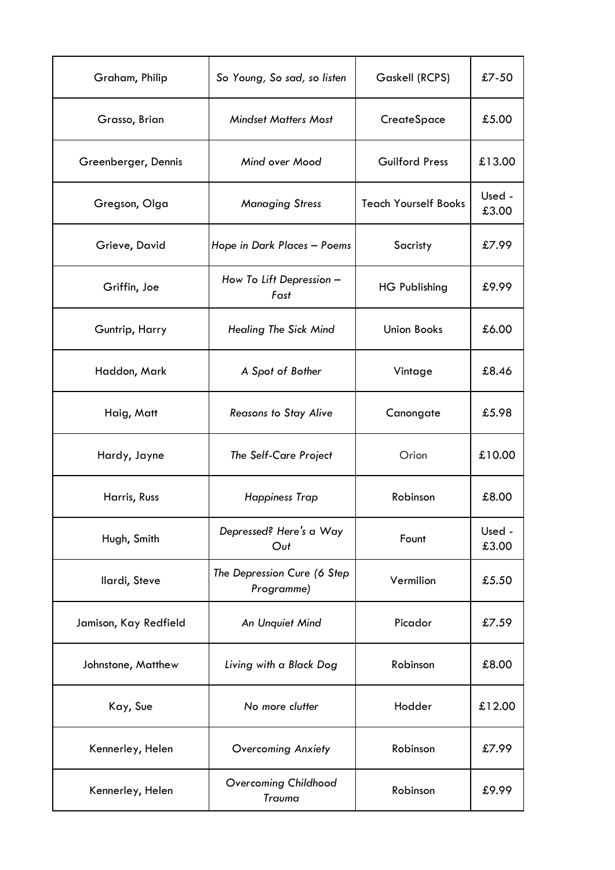| Graham, Philip        | So Young, So sad, so listen               | Gaskell (RCPS)              | $£7-50$         |
|-----------------------|-------------------------------------------|-----------------------------|-----------------|
| Grasso, Brian         | <b>Mindset Matters Most</b>               | CreateSpace                 | £5.00           |
| Greenberger, Dennis   | Mind over Mood                            | <b>Guilford Press</b>       | £13.00          |
| Gregson, Olga         | <b>Managing Stress</b>                    | <b>Teach Yourself Books</b> | Used -<br>£3.00 |
| Grieve, David         | Hope in Dark Places - Poems               | Sacristy                    | £7.99           |
| Griffin, Joe          | How To Lift Depression -<br>Fast          | <b>HG Publishing</b>        | £9.99           |
| Guntrip, Harry        | <b>Healing The Sick Mind</b>              | <b>Union Books</b>          | £6.00           |
| Haddon, Mark          | A Spot of Bother                          | Vintage                     | £8.46           |
| Haig, Matt            | <b>Reasons to Stay Alive</b>              | Canongate                   | £5.98           |
| Hardy, Jayne          | The Self-Care Project                     | Orion                       | £10.00          |
| Harris, Russ          | <b>Happiness Trap</b>                     | Robinson                    | £8.00           |
| Hugh, Smith           | Depressed? Here's a Way<br>Out            | Fount                       | Used -<br>£3.00 |
| Ilardi, Steve         | The Depression Cure (6 Step<br>Programme) | Vermilion                   | £5.50           |
| Jamison, Kay Redfield | An Unquiet Mind                           | Picador                     | £7.59           |
| Johnstone, Matthew    | Living with a Black Dog                   | Robinson                    | £8.00           |
| Kay, Sue              | Hodder<br>No more clutter                 |                             | £12.00          |
| Kennerley, Helen      | Robinson<br><b>Overcoming Anxiety</b>     |                             | £7.99           |
| Kennerley, Helen      | Overcoming Childhood<br>Trauma            | Robinson                    |                 |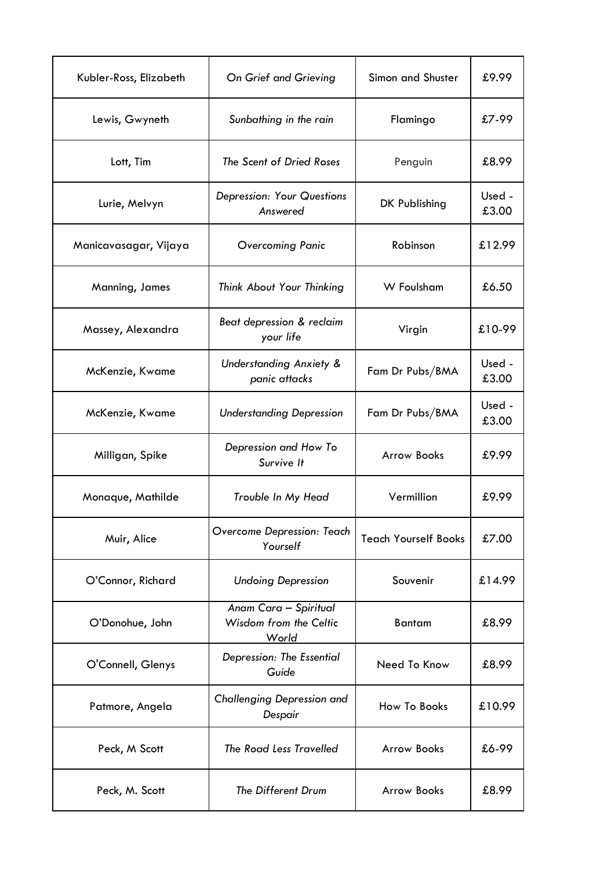| Kubler-Ross, Elizabeth | On Grief and Grieving                                    | Simon and Shuster           | £9.99           |
|------------------------|----------------------------------------------------------|-----------------------------|-----------------|
| Lewis, Gwyneth         | Sunbathing in the rain                                   | Flamingo                    | £7-99           |
| Lott, Tim              | The Scent of Dried Roses                                 | Penguin                     | £8.99           |
| Lurie, Melvyn          | <b>Depression: Your Questions</b><br>Answered            | DK Publishing               | Used -<br>£3.00 |
| Manicavasagar, Vijaya  | Overcoming Panic                                         | Robinson                    | £12.99          |
| Manning, James         | Think About Your Thinking                                | W Foulsham                  | £6.50           |
| Massey, Alexandra      | Beat depression & reclaim<br>your life                   | Virgin                      | £10-99          |
| McKenzie, Kwame        | <b>Understanding Anxiety &amp;</b><br>panic attacks      | Fam Dr Pubs/BMA             | Used -<br>£3.00 |
| McKenzie, Kwame        | <b>Understanding Depression</b>                          | Fam Dr Pubs/BMA             | Used -<br>£3.00 |
| Milligan, Spike        | Depression and How To<br>Survive It                      | <b>Arrow Books</b>          | £9.99           |
| Monaque, Mathilde      | Trouble In My Head                                       | Vermillion                  | £9.99           |
| Muir, Alice            | Overcome Depression: Teach<br>Yourself                   | <b>Teach Yourself Books</b> | £7.00           |
| O'Connor, Richard      | <b>Undoing Depression</b>                                | Souvenir                    | £14.99          |
| O'Donohue, John        | Anam Cara - Spiritual<br>Wisdom from the Celtic<br>World | <b>Bantam</b>               | £8.99           |
| O'Connell, Glenys      | Depression: The Essential<br>Guide                       | Need To Know                | £8.99           |
| Patmore, Angela        | Challenging Depression and<br>Despair                    | How To Books                | £10.99          |
| Peck, M Scott          | The Road Less Travelled                                  | <b>Arrow Books</b>          | £6-99           |
| Peck, M. Scott         | The Different Drum                                       | <b>Arrow Books</b>          | £8.99           |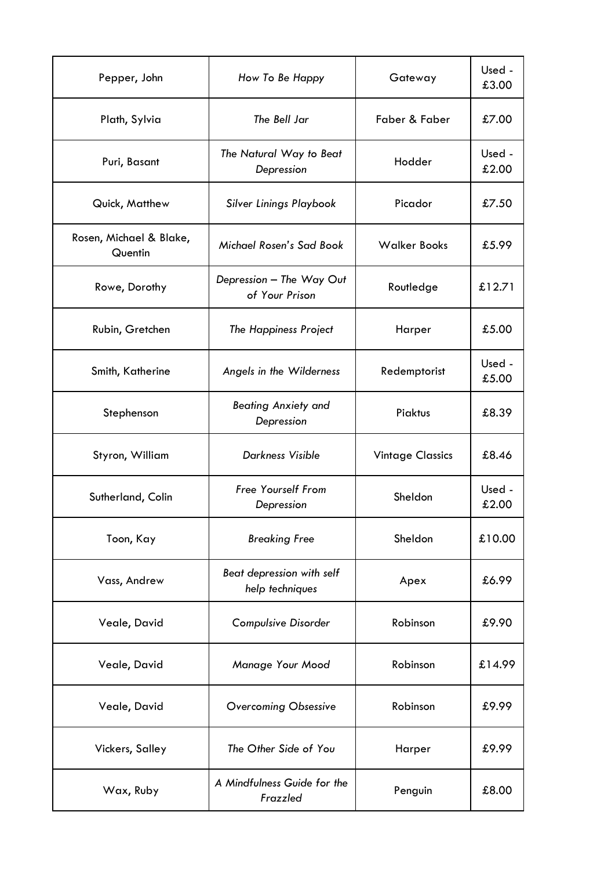| Pepper, John                                                 | How To Be Happy<br>Gateway                         |                     | Used -<br>£3.00 |
|--------------------------------------------------------------|----------------------------------------------------|---------------------|-----------------|
| Plath, Sylvia                                                | The Bell Jar                                       | Faber & Faber       | £7.00           |
| Puri, Basant                                                 | The Natural Way to Beat<br>Depression              | Hodder              | Used -<br>£2.00 |
| Quick, Matthew                                               | <b>Silver Linings Playbook</b>                     | Picador             | £7.50           |
| Rosen, Michael & Blake,<br>Quentin                           | Michael Rosen's Sad Book                           | <b>Walker Books</b> | £5.99           |
| Rowe, Dorothy                                                | Depression - The Way Out<br>of Your Prison         | Routledge           | £12.71          |
| Rubin, Gretchen                                              | The Happiness Project                              | Harper              | £5.00           |
| Smith, Katherine                                             | Angels in the Wilderness                           |                     | Used -<br>£5.00 |
| Stephenson                                                   | <b>Beating Anxiety and</b><br>Depression           | Piaktus             | £8.39           |
| Styron, William                                              | <b>Darkness Visible</b><br><b>Vintage Classics</b> |                     | £8.46           |
| <b>Free Yourself From</b><br>Sutherland, Colin<br>Depression |                                                    | Sheldon             | Used -<br>£2.00 |
| Toon, Kay                                                    | <b>Breaking Free</b>                               | Sheldon             | £10.00          |
| Vass, Andrew                                                 | Beat depression with self<br>help techniques       |                     | £6.99           |
| <b>Compulsive Disorder</b><br>Veale, David                   |                                                    | Robinson            | £9.90           |
| Veale, David                                                 | Manage Your Mood                                   |                     | £14.99          |
| Veale, David                                                 | <b>Overcoming Obsessive</b>                        |                     | £9.99           |
| Vickers, Salley                                              | The Other Side of You<br>Harper                    |                     | £9.99           |
| A Mindfulness Guide for the<br>Wax, Ruby<br>Frazzled         |                                                    | Penguin             | £8.00           |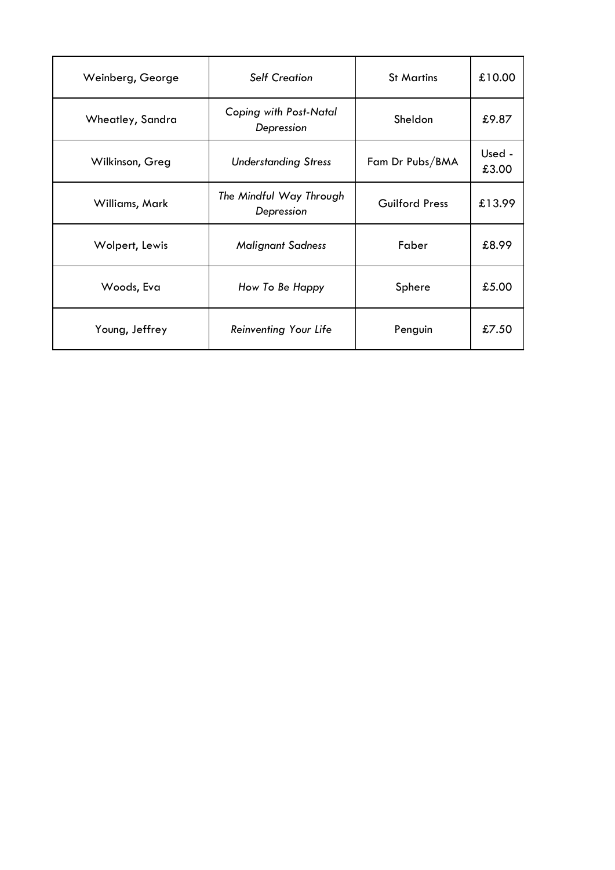| Weinberg, George | <b>Self Creation</b>                  | <b>St Martins</b>     | £10.00          |
|------------------|---------------------------------------|-----------------------|-----------------|
| Wheatley, Sandra | Coping with Post-Natal<br>Depression  | Sheldon               | £9.87           |
| Wilkinson, Greg  | <b>Understanding Stress</b>           | Fam Dr Pubs/BMA       | Used -<br>£3.00 |
| Williams, Mark   | The Mindful Way Through<br>Depression | <b>Guilford Press</b> | £13.99          |
| Wolpert, Lewis   | <b>Malignant Sadness</b>              | Faber                 | £8.99           |
| Woods, Eva       | How To Be Happy                       | Sphere                | £5.00           |
| Young, Jeffrey   | Reinventing Your Life                 | Penguin               | £7.50           |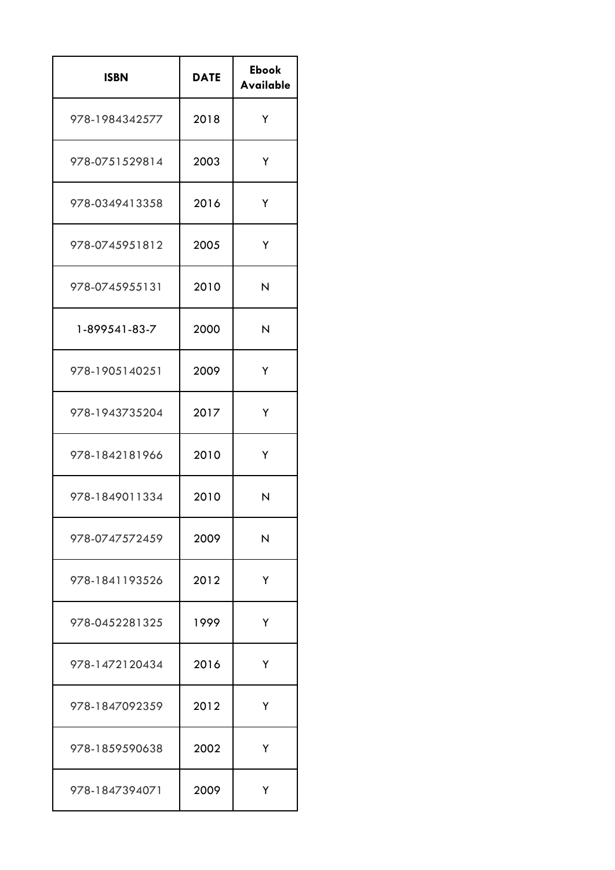| <b>ISBN</b>    | <b>DATE</b> | <b>Ebook</b><br><b>Available</b> |
|----------------|-------------|----------------------------------|
| 978-1984342577 | 2018        | Υ                                |
| 978-0751529814 | 2003        | Y                                |
| 978-0349413358 | 2016        | Y                                |
| 978-0745951812 | 2005        | Υ                                |
| 978-0745955131 | 2010        | N                                |
| 1-899541-83-7  | 2000        | N                                |
| 978-1905140251 | 2009        | Y                                |
| 978-1943735204 | 2017        | Y                                |
| 978-1842181966 | 2010        | Υ                                |
| 978-1849011334 | 2010        | N                                |
| 978-0747572459 | 2009        | N                                |
| 978-1841193526 | 2012        | Y                                |
| 978-0452281325 | 1999        | Y                                |
| 978-1472120434 | 2016        | Y                                |
| 978-1847092359 | 2012        | Y                                |
| 978-1859590638 | 2002        | Y                                |
| 978-1847394071 | 2009        | Y                                |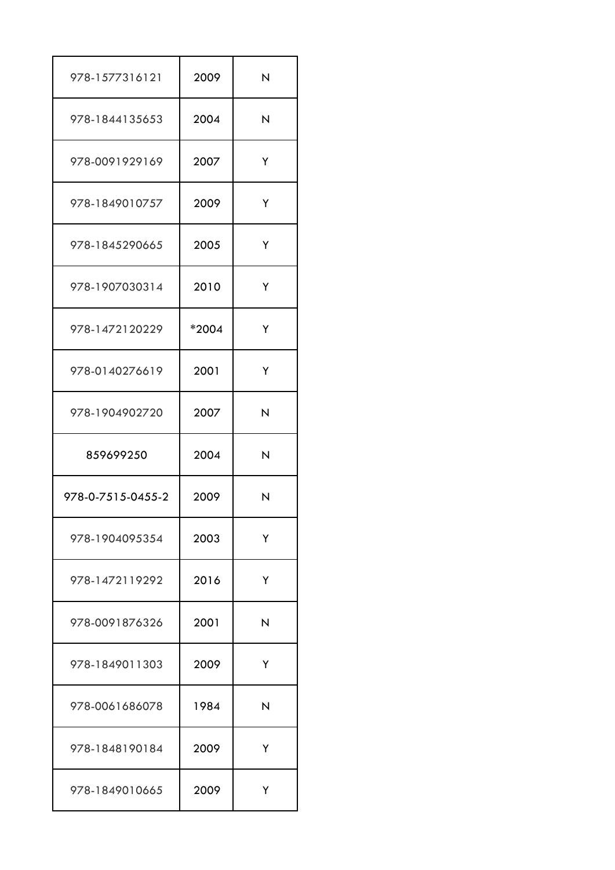| 978-1577316121    | 2009  | N |
|-------------------|-------|---|
| 978-1844135653    | 2004  | N |
| 978-0091929169    | 2007  | Y |
| 978-1849010757    | 2009  | Y |
| 978-1845290665    | 2005  | Y |
| 978-1907030314    | 2010  | Y |
| 978-1472120229    | *2004 | Y |
| 978-0140276619    | 2001  | Y |
| 978-1904902720    | 2007  | N |
| 859699250         | 2004  | N |
| 978-0-7515-0455-2 | 2009  | N |
| 978-1904095354    | 2003  | Y |
| 978-1472119292    | 2016  | Y |
| 978-0091876326    | 2001  | N |
| 978-1849011303    | 2009  | Y |
| 978-0061686078    | 1984  | N |
| 978-1848190184    | 2009  | Y |
| 978-1849010665    | 2009  | Y |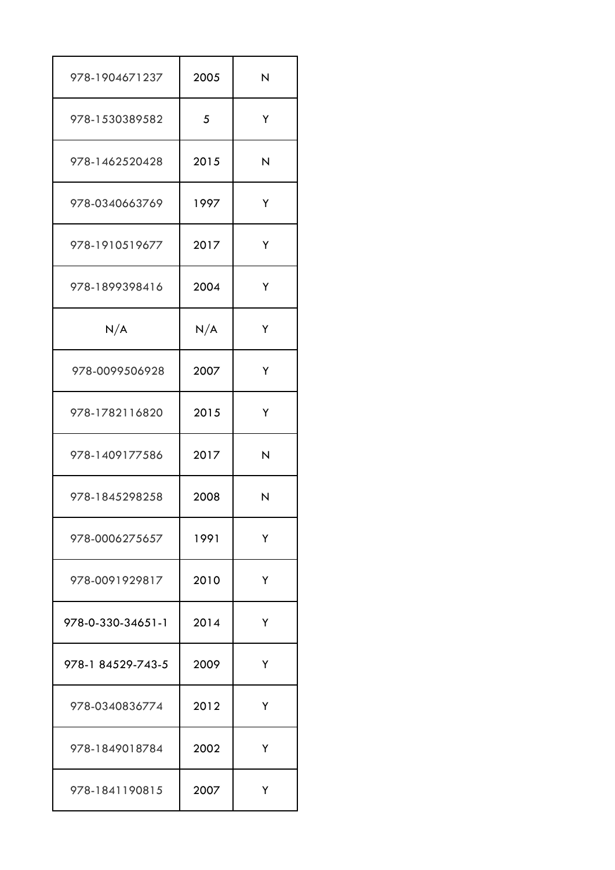| 978-1904671237    | 2005 | N |
|-------------------|------|---|
| 978-1530389582    | 5    | Y |
| 978-1462520428    | 2015 | N |
| 978-0340663769    | 1997 | Y |
| 978-1910519677    | 2017 | Y |
| 978-1899398416    | 2004 | Y |
| N/A               | N/A  | Y |
| 978-0099506928    | 2007 | Y |
| 978-1782116820    | 2015 | Y |
| 978-1409177586    | 2017 | N |
| 978-1845298258    | 2008 | N |
| 978-0006275657    | 1991 | Y |
| 978-0091929817    | 2010 | Y |
| 978-0-330-34651-1 | 2014 | Υ |
| 978-1 84529-743-5 | 2009 | Y |
| 978-0340836774    | 2012 | Y |
| 978-1849018784    | 2002 | Υ |
| 978-1841190815    | 2007 | Y |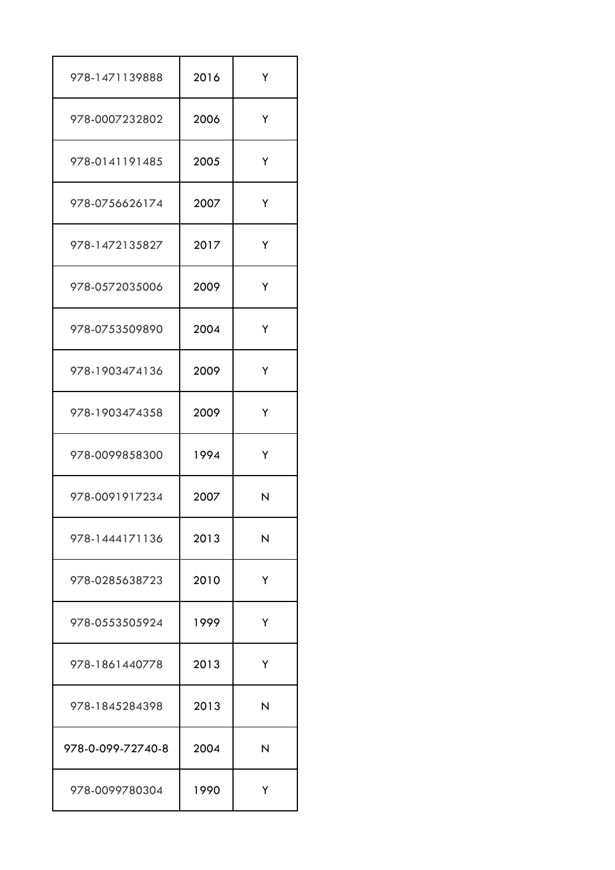| 978-1471139888    | 2016 | Y |
|-------------------|------|---|
| 978-0007232802    | 2006 | Y |
| 978-0141191485    | 2005 | Y |
| 978-0756626174    | 2007 | Y |
| 978-1472135827    | 2017 | Y |
| 978-0572035006    | 2009 | Y |
| 978-0753509890    | 2004 | Y |
| 978-1903474136    | 2009 | Y |
| 978-1903474358    | 2009 | Y |
| 978-0099858300    | 1994 | Y |
| 978-0091917234    | 2007 | N |
| 978-1444171136    | 2013 | N |
| 978-0285638723    | 2010 | Y |
| 978-0553505924    | 1999 | Y |
| 978-1861440778    | 2013 | Y |
| 978-1845284398    | 2013 | N |
| 978-0-099-72740-8 | 2004 | N |
| 978-0099780304    | 1990 | Y |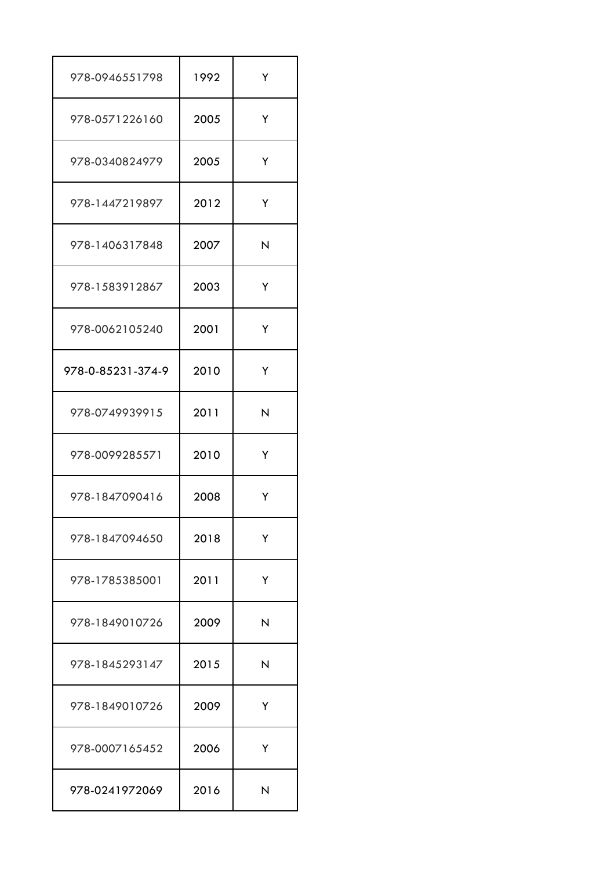| 978-0946551798    | 1992 | Y |
|-------------------|------|---|
| 978-0571226160    | 2005 | Y |
| 978-0340824979    | 2005 | Y |
| 978-1447219897    | 2012 | Y |
| 978-1406317848    | 2007 | N |
| 978-1583912867    | 2003 | Y |
| 978-0062105240    | 2001 | Y |
| 978-0-85231-374-9 | 2010 | Y |
| 978-0749939915    | 2011 | N |
| 978-0099285571    | 2010 | Υ |
| 978-1847090416    | 2008 | Y |
| 978-1847094650    | 2018 | Y |
| 978-1785385001    | 2011 | Y |
| 978-1849010726    | 2009 | N |
| 978-1845293147    | 2015 | N |
| 978-1849010726    | 2009 | Y |
| 978-0007165452    | 2006 | Υ |
| 978-0241972069    | 2016 | N |